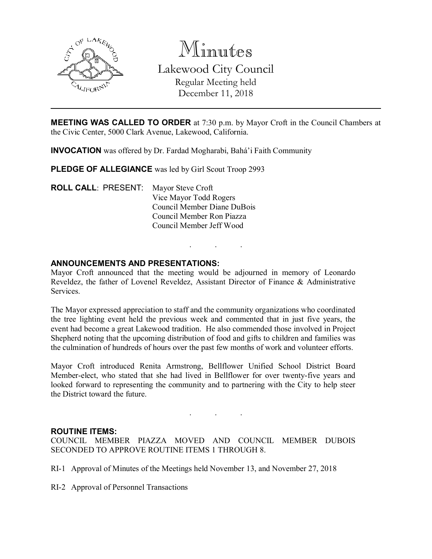

Minutes Lakewood City Council Regular Meeting held December 11, 2018

MEETING WAS CALLED TO ORDER at 7:30 p.m. by Mayor Croft in the Council Chambers at the Civic Center, 5000 Clark Avenue, Lakewood, California.

INVOCATION was offered by Dr. Fardad Mogharabi, Bahá'i Faith Community

PLEDGE OF ALLEGIANCE was led by Girl Scout Troop 2993

ROLL CALL: PRESENT: Mayor Steve Croft Vice Mayor Todd Rogers Council Member Diane DuBois Council Member Ron Piazza Council Member Jeff Wood

### ANNOUNCEMENTS AND PRESENTATIONS:

Mayor Croft announced that the meeting would be adjourned in memory of Leonardo Reveldez, the father of Lovenel Reveldez, Assistant Director of Finance & Administrative **Services** 

. . .

The Mayor expressed appreciation to staff and the community organizations who coordinated the tree lighting event held the previous week and commented that in just five years, the event had become a great Lakewood tradition. He also commended those involved in Project Shepherd noting that the upcoming distribution of food and gifts to children and families was the culmination of hundreds of hours over the past few months of work and volunteer efforts.

Mayor Croft introduced Renita Armstrong, Bellflower Unified School District Board Member-elect, who stated that she had lived in Bellflower for over twenty-five years and looked forward to representing the community and to partnering with the City to help steer the District toward the future.

. . .

#### ROUTINE ITEMS:

COUNCIL MEMBER PIAZZA MOVED AND COUNCIL MEMBER DUBOIS SECONDED TO APPROVE ROUTINE ITEMS 1 THROUGH 8.

- RI-1 Approval of Minutes of the Meetings held November 13, and November 27, 2018
- RI-2 Approval of Personnel Transactions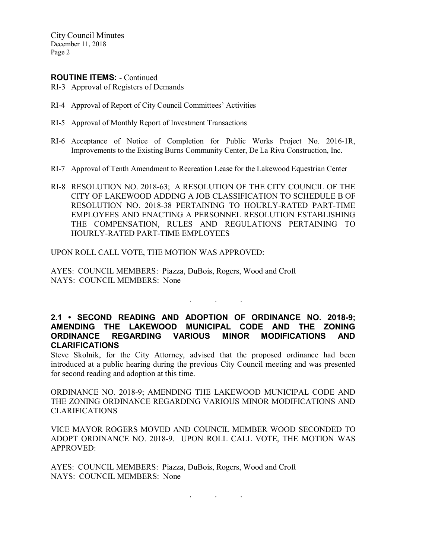#### ROUTINE ITEMS: - Continued

- RI-3 Approval of Registers of Demands
- RI-4 Approval of Report of City Council Committees' Activities
- RI-5 Approval of Monthly Report of Investment Transactions
- RI-6 Acceptance of Notice of Completion for Public Works Project No. 2016-1R, Improvements to the Existing Burns Community Center, De La Riva Construction, Inc.
- RI-7 Approval of Tenth Amendment to Recreation Lease for the Lakewood Equestrian Center
- RI-8 RESOLUTION NO. 2018-63; A RESOLUTION OF THE CITY COUNCIL OF THE CITY OF LAKEWOOD ADDING A JOB CLASSIFICATION TO SCHEDULE B OF RESOLUTION NO. 2018-38 PERTAINING TO HOURLY-RATED PART-TIME EMPLOYEES AND ENACTING A PERSONNEL RESOLUTION ESTABLISHING THE COMPENSATION, RULES AND REGULATIONS PERTAINING TO HOURLY-RATED PART-TIME EMPLOYEES

UPON ROLL CALL VOTE, THE MOTION WAS APPROVED:

AYES: COUNCIL MEMBERS: Piazza, DuBois, Rogers, Wood and Croft NAYS: COUNCIL MEMBERS: None

2.1 • SECOND READING AND ADOPTION OF ORDINANCE NO. 2018-9; AMENDING THE LAKEWOOD MUNICIPAL CODE AND THE ZONING ORDINANCE REGARDING VARIOUS MINOR MODIFICATIONS AND CLARIFICATIONS

. . .

Steve Skolnik, for the City Attorney, advised that the proposed ordinance had been introduced at a public hearing during the previous City Council meeting and was presented for second reading and adoption at this time.

ORDINANCE NO. 2018-9; AMENDING THE LAKEWOOD MUNICIPAL CODE AND THE ZONING ORDINANCE REGARDING VARIOUS MINOR MODIFICATIONS AND CLARIFICATIONS

VICE MAYOR ROGERS MOVED AND COUNCIL MEMBER WOOD SECONDED TO ADOPT ORDINANCE NO. 2018-9. UPON ROLL CALL VOTE, THE MOTION WAS APPROVED:

. . .

AYES: COUNCIL MEMBERS: Piazza, DuBois, Rogers, Wood and Croft NAYS: COUNCIL MEMBERS: None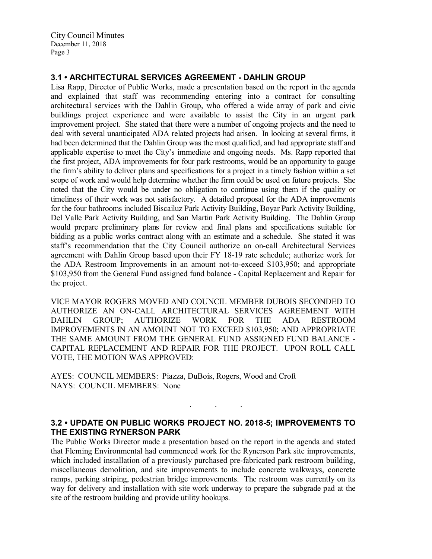# 3.1 • ARCHITECTURAL SERVICES AGREEMENT - DAHLIN GROUP

Lisa Rapp, Director of Public Works, made a presentation based on the report in the agenda and explained that staff was recommending entering into a contract for consulting architectural services with the Dahlin Group, who offered a wide array of park and civic buildings project experience and were available to assist the City in an urgent park improvement project. She stated that there were a number of ongoing projects and the need to deal with several unanticipated ADA related projects had arisen. In looking at several firms, it had been determined that the Dahlin Group was the most qualified, and had appropriate staff and applicable expertise to meet the City's immediate and ongoing needs. Ms. Rapp reported that the first project, ADA improvements for four park restrooms, would be an opportunity to gauge the firm's ability to deliver plans and specifications for a project in a timely fashion within a set scope of work and would help determine whether the firm could be used on future projects. She noted that the City would be under no obligation to continue using them if the quality or timeliness of their work was not satisfactory. A detailed proposal for the ADA improvements for the four bathrooms included Biscailuz Park Activity Building, Boyar Park Activity Building, Del Valle Park Activity Building, and San Martin Park Activity Building. The Dahlin Group would prepare preliminary plans for review and final plans and specifications suitable for bidding as a public works contract along with an estimate and a schedule. She stated it was staff's recommendation that the City Council authorize an on-call Architectural Services agreement with Dahlin Group based upon their FY 18-19 rate schedule; authorize work for the ADA Restroom Improvements in an amount not-to-exceed \$103,950; and appropriate \$103,950 from the General Fund assigned fund balance - Capital Replacement and Repair for the project.

VICE MAYOR ROGERS MOVED AND COUNCIL MEMBER DUBOIS SECONDED TO AUTHORIZE AN ON-CALL ARCHITECTURAL SERVICES AGREEMENT WITH DAHLIN GROUP; AUTHORIZE WORK FOR THE ADA RESTROOM IMPROVEMENTS IN AN AMOUNT NOT TO EXCEED \$103,950; AND APPROPRIATE THE SAME AMOUNT FROM THE GENERAL FUND ASSIGNED FUND BALANCE - CAPITAL REPLACEMENT AND REPAIR FOR THE PROJECT. UPON ROLL CALL VOTE, THE MOTION WAS APPROVED:

AYES: COUNCIL MEMBERS: Piazza, DuBois, Rogers, Wood and Croft NAYS: COUNCIL MEMBERS: None

### 3.2 • UPDATE ON PUBLIC WORKS PROJECT NO. 2018-5; IMPROVEMENTS TO THE EXISTING RYNERSON PARK

. . .

The Public Works Director made a presentation based on the report in the agenda and stated that Fleming Environmental had commenced work for the Rynerson Park site improvements, which included installation of a previously purchased pre-fabricated park restroom building, miscellaneous demolition, and site improvements to include concrete walkways, concrete ramps, parking striping, pedestrian bridge improvements. The restroom was currently on its way for delivery and installation with site work underway to prepare the subgrade pad at the site of the restroom building and provide utility hookups.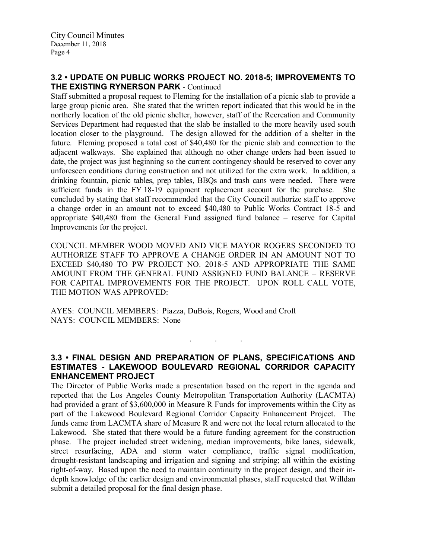#### 3.2 • UPDATE ON PUBLIC WORKS PROJECT NO. 2018-5; IMPROVEMENTS TO THE EXISTING RYNERSON PARK - Continued

Staff submitted a proposal request to Fleming for the installation of a picnic slab to provide a large group picnic area. She stated that the written report indicated that this would be in the northerly location of the old picnic shelter, however, staff of the Recreation and Community Services Department had requested that the slab be installed to the more heavily used south location closer to the playground. The design allowed for the addition of a shelter in the future. Fleming proposed a total cost of \$40,480 for the picnic slab and connection to the adjacent walkways. She explained that although no other change orders had been issued to date, the project was just beginning so the current contingency should be reserved to cover any unforeseen conditions during construction and not utilized for the extra work. In addition, a drinking fountain, picnic tables, prep tables, BBQs and trash cans were needed. There were sufficient funds in the FY 18-19 equipment replacement account for the purchase. She concluded by stating that staff recommended that the City Council authorize staff to approve a change order in an amount not to exceed \$40,480 to Public Works Contract 18-5 and appropriate \$40,480 from the General Fund assigned fund balance – reserve for Capital Improvements for the project.

COUNCIL MEMBER WOOD MOVED AND VICE MAYOR ROGERS SECONDED TO AUTHORIZE STAFF TO APPROVE A CHANGE ORDER IN AN AMOUNT NOT TO EXCEED \$40,480 TO PW PROJECT NO. 2018-5 AND APPROPRIATE THE SAME AMOUNT FROM THE GENERAL FUND ASSIGNED FUND BALANCE – RESERVE FOR CAPITAL IMPROVEMENTS FOR THE PROJECT. UPON ROLL CALL VOTE, THE MOTION WAS APPROVED:

AYES: COUNCIL MEMBERS: Piazza, DuBois, Rogers, Wood and Croft NAYS: COUNCIL MEMBERS: None

### 3.3 • FINAL DESIGN AND PREPARATION OF PLANS, SPECIFICATIONS AND ESTIMATES - LAKEWOOD BOULEVARD REGIONAL CORRIDOR CAPACITY ENHANCEMENT PROJECT

. . .

The Director of Public Works made a presentation based on the report in the agenda and reported that the Los Angeles County Metropolitan Transportation Authority (LACMTA) had provided a grant of \$3,600,000 in Measure R Funds for improvements within the City as part of the Lakewood Boulevard Regional Corridor Capacity Enhancement Project. The funds came from LACMTA share of Measure R and were not the local return allocated to the Lakewood. She stated that there would be a future funding agreement for the construction phase. The project included street widening, median improvements, bike lanes, sidewalk, street resurfacing, ADA and storm water compliance, traffic signal modification, drought-resistant landscaping and irrigation and signing and striping; all within the existing right-of-way. Based upon the need to maintain continuity in the project design, and their indepth knowledge of the earlier design and environmental phases, staff requested that Willdan submit a detailed proposal for the final design phase.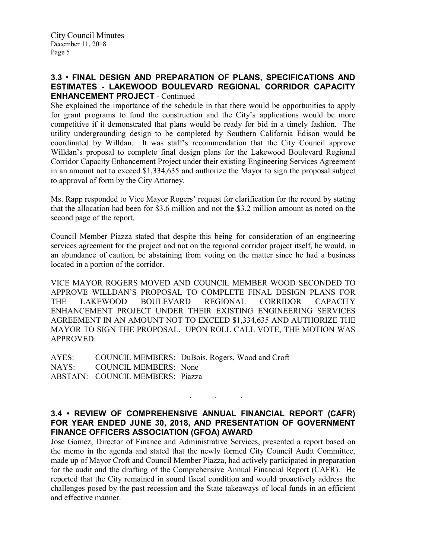# 3.3 • FINAL DESIGN AND PREPARATION OF PLANS, SPECIFICATIONS AND ESTIMATES - LAKEWOOD BOULEVARD REGIONAL CORRIDOR CAPACITY ENHANCEMENT PROJECT - Continued

She explained the importance of the schedule in that there would be opportunities to apply for grant programs to fund the construction and the City's applications would be more competitive if it demonstrated that plans would be ready for bid in a timely fashion. The utility undergrounding design to be completed by Southern California Edison would be coordinated by Willdan. It was staff's recommendation that the City Council approve Willdan's proposal to complete final design plans for the Lakewood Boulevard Regional Corridor Capacity Enhancement Project under their existing Engineering Services Agreement in an amount not to exceed \$1,334,635 and authorize the Mayor to sign the proposal subject to approval of form by the City Attorney.

Ms. Rapp responded to Vice Mayor Rogers' request for clarification for the record by stating that the allocation had been for \$3.6 million and not the \$3.2 million amount as noted on the second page of the report.

Council Member Piazza stated that despite this being for consideration of an engineering services agreement for the project and not on the regional corridor project itself, he would, in an abundance of caution, be abstaining from voting on the matter since he had a business located in a portion of the corridor.

VICE MAYOR ROGERS MOVED AND COUNCIL MEMBER WOOD SECONDED TO APPROVE WILLDAN'S PROPOSAL TO COMPLETE FINAL DESIGN PLANS FOR THE LAKEWOOD BOULEVARD REGIONAL CORRIDOR CAPACITY ENHANCEMENT PROJECT UNDER THEIR EXISTING ENGINEERING SERVICES AGREEMENT IN AN AMOUNT NOT TO EXCEED \$1,334,635 AND AUTHORIZE THE MAYOR TO SIGN THE PROPOSAL. UPON ROLL CALL VOTE, THE MOTION WAS APPROVED:

AYES: COUNCIL MEMBERS: DuBois, Rogers, Wood and Croft NAYS: COUNCIL MEMBERS: None ABSTAIN: COUNCIL MEMBERS: Piazza

# 3.4 • REVIEW OF COMPREHENSIVE ANNUAL FINANCIAL REPORT (CAFR) FOR YEAR ENDED JUNE 30, 2018, AND PRESENTATION OF GOVERNMENT FINANCE OFFICERS ASSOCIATION (GFOA) AWARD

. . .

Jose Gomez, Director of Finance and Administrative Services, presented a report based on the memo in the agenda and stated that the newly formed City Council Audit Committee, made up of Mayor Croft and Council Member Piazza, had actively participated in preparation for the audit and the drafting of the Comprehensive Annual Financial Report (CAFR). He reported that the City remained in sound fiscal condition and would proactively address the challenges posed by the past recession and the State takeaways of local funds in an efficient and effective manner.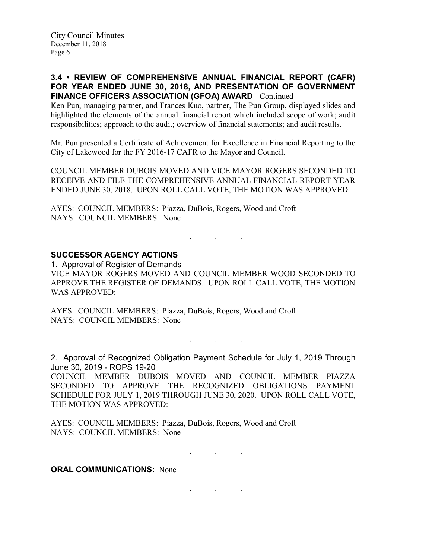# 3.4 • REVIEW OF COMPREHENSIVE ANNUAL FINANCIAL REPORT (CAFR) FOR YEAR ENDED JUNE 30, 2018, AND PRESENTATION OF GOVERNMENT FINANCE OFFICERS ASSOCIATION (GFOA) AWARD - Continued

Ken Pun, managing partner, and Frances Kuo, partner, The Pun Group, displayed slides and highlighted the elements of the annual financial report which included scope of work; audit responsibilities; approach to the audit; overview of financial statements; and audit results.

Mr. Pun presented a Certificate of Achievement for Excellence in Financial Reporting to the City of Lakewood for the FY 2016-17 CAFR to the Mayor and Council.

COUNCIL MEMBER DUBOIS MOVED AND VICE MAYOR ROGERS SECONDED TO RECEIVE AND FILE THE COMPREHENSIVE ANNUAL FINANCIAL REPORT YEAR ENDED JUNE 30, 2018. UPON ROLL CALL VOTE, THE MOTION WAS APPROVED:

AYES: COUNCIL MEMBERS: Piazza, DuBois, Rogers, Wood and Croft NAYS: COUNCIL MEMBERS: None

# SUCCESSOR AGENCY ACTIONS

1. Approval of Register of Demands VICE MAYOR ROGERS MOVED AND COUNCIL MEMBER WOOD SECONDED TO APPROVE THE REGISTER OF DEMANDS. UPON ROLL CALL VOTE, THE MOTION WAS APPROVED:

. . .

AYES: COUNCIL MEMBERS: Piazza, DuBois, Rogers, Wood and Croft NAYS: COUNCIL MEMBERS: None

. . .

2. Approval of Recognized Obligation Payment Schedule for July 1, 2019 Through June 30, 2019 - ROPS 19-20

COUNCIL MEMBER DUBOIS MOVED AND COUNCIL MEMBER PIAZZA SECONDED TO APPROVE THE RECOGNIZED OBLIGATIONS PAYMENT SCHEDULE FOR JULY 1, 2019 THROUGH JUNE 30, 2020. UPON ROLL CALL VOTE, THE MOTION WAS APPROVED:

AYES: COUNCIL MEMBERS: Piazza, DuBois, Rogers, Wood and Croft NAYS: COUNCIL MEMBERS: None

. . .

. . .

#### **ORAL COMMUNICATIONS: None**